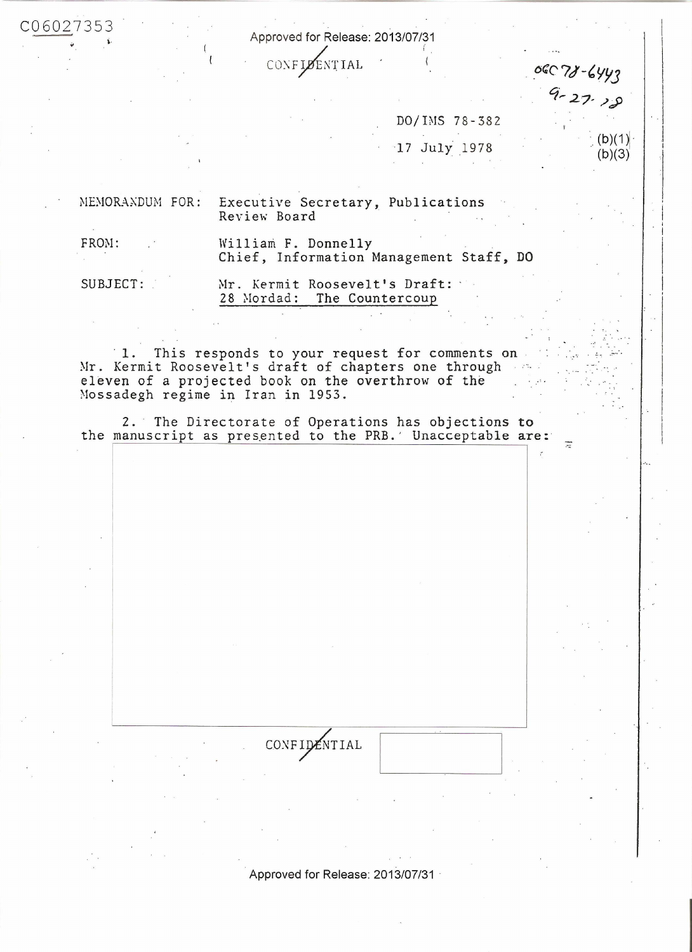Approved for Release: 2013/07/31

CONFIDENTIAL

06078-6443

Ξ

 $9 - 27.18$ 

 $(b)(1)$ 

 $(b)(3)$ 

DO/IMS 78-382 17 July 1978

MEMORANDUM FOR:

Executive Secretary, Publications Review Board

FROM:

C06027353

William F. Donnelly Chief, Information Management Staff, DO

SUBJECT:

Mr. Kermit Roosevelt's Draft: 28 Mordad: The Countercoup

This responds to your request for comments on 1. Mr. Kermit Roosevelt's draft of chapters one through and eleven of a projected book on the overthrow of the Mossadegh regime in Iran in 1953.

2. The Directorate of Operations has objections to the manuscript as presented to the PRB.' Unacceptable are:

CONFIDENTIAL

Approved for Release: 2013/07/31